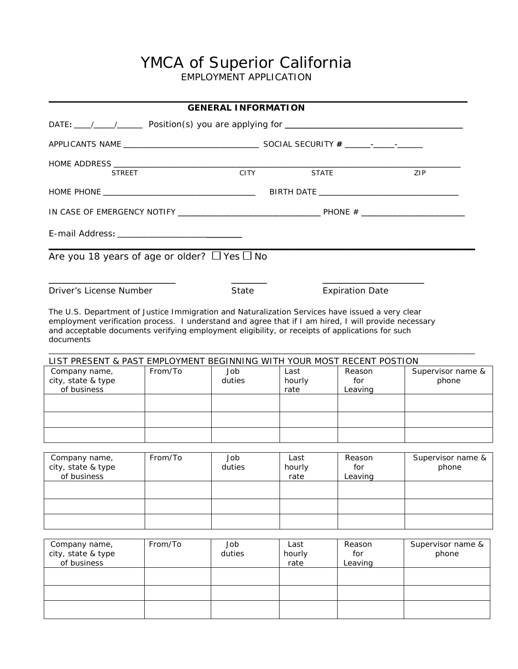# *YMCA of Superior California*

EMPLOYMENT APPLICATION

|                                                                                                                                                                                                                                                                                                                         |         | <b>GENERAL INFORMATION</b> |                        |                          |                            |  |
|-------------------------------------------------------------------------------------------------------------------------------------------------------------------------------------------------------------------------------------------------------------------------------------------------------------------------|---------|----------------------------|------------------------|--------------------------|----------------------------|--|
| DATE: \___/ \____/ Position(s) you are applying for \___________________________                                                                                                                                                                                                                                        |         |                            |                        |                          |                            |  |
|                                                                                                                                                                                                                                                                                                                         |         |                            |                        |                          |                            |  |
| HOME ADDRESS __                                                                                                                                                                                                                                                                                                         |         |                            |                        |                          |                            |  |
| <b>STREET</b>                                                                                                                                                                                                                                                                                                           |         | <b>CITY</b>                | <b>STATE</b>           |                          | ZIP                        |  |
|                                                                                                                                                                                                                                                                                                                         |         |                            |                        |                          |                            |  |
|                                                                                                                                                                                                                                                                                                                         |         |                            |                        |                          |                            |  |
|                                                                                                                                                                                                                                                                                                                         |         |                            |                        |                          |                            |  |
| Are you 18 years of age or older? $\Box$ Yes $\Box$ No                                                                                                                                                                                                                                                                  |         |                            |                        |                          |                            |  |
| Driver's License Number                                                                                                                                                                                                                                                                                                 |         | State                      |                        | <b>Expiration Date</b>   |                            |  |
| The U.S. Department of Justice Immigration and Naturalization Services have issued a very clear<br>employment verification process. I understand and agree that if I am hired, I will provide necessary<br>and acceptable documents verifying employment eligibility, or receipts of applications for such<br>documents |         |                            |                        |                          |                            |  |
| LIST PRESENT & PAST EMPLOYMENT BEGINNING WITH YOUR MOST RECENT POSTION                                                                                                                                                                                                                                                  |         |                            |                        |                          |                            |  |
| Company name,<br>city, state & type<br>of business                                                                                                                                                                                                                                                                      | From/To | Job<br>duties              | Last<br>hourly<br>rate | Reason<br>for<br>Leaving | Supervisor name &<br>phone |  |
|                                                                                                                                                                                                                                                                                                                         |         |                            |                        |                          |                            |  |
|                                                                                                                                                                                                                                                                                                                         |         |                            |                        |                          |                            |  |
| Company name,<br>city, state & type<br>of business                                                                                                                                                                                                                                                                      | From/To | Job<br>duties              | Last<br>hourly<br>rate | Reason<br>for<br>Leaving | Supervisor name &<br>phone |  |
|                                                                                                                                                                                                                                                                                                                         |         |                            |                        |                          |                            |  |
|                                                                                                                                                                                                                                                                                                                         |         |                            |                        |                          |                            |  |
| Company name,<br>city, state & type<br>of business                                                                                                                                                                                                                                                                      | From/To | Job<br>duties              | Last<br>hourly<br>rate | Reason<br>for<br>Leaving | Supervisor name &<br>phone |  |
|                                                                                                                                                                                                                                                                                                                         |         |                            |                        |                          |                            |  |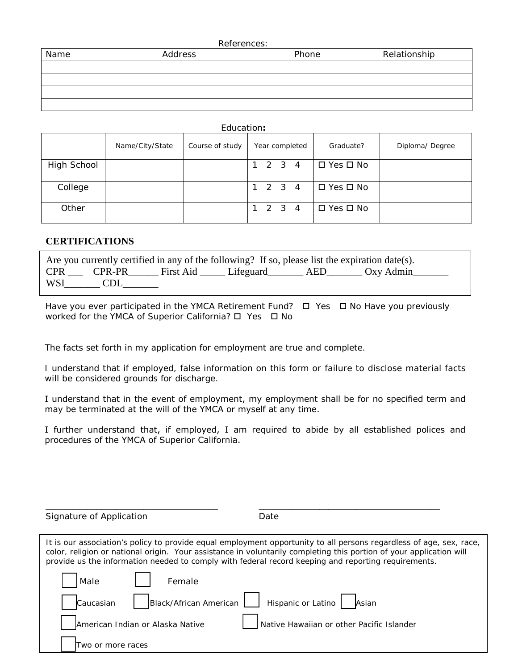|      | References: |       |              |
|------|-------------|-------|--------------|
| Name | Address     | Phone | Relationship |
|      |             |       |              |
|      |             |       |              |
|      |             |       |              |
|      |             |       |              |

## Education**:**

|             | Name/City/State | Course of study | Year completed        | Graduate?            | Diploma/Degree |
|-------------|-----------------|-----------------|-----------------------|----------------------|----------------|
| High School |                 |                 | $1 \t2 \t3 \t4$       | $\Box$ Yes $\Box$ No |                |
| College     |                 |                 | 2 3 4                 | $\Box$ Yes $\Box$ No |                |
| Other       |                 |                 | 2 3<br>$\overline{4}$ | $\Box$ Yes $\Box$ No |                |

### **CERTIFICATIONS**

|            |            | Are you currently certified in any of the following? If so, please list the expiration date(s). |     |           |
|------------|------------|-------------------------------------------------------------------------------------------------|-----|-----------|
| <b>CPR</b> |            | CPR-PR _______ First Aid _______ Lifeguard________                                              | AED | Oxy Admin |
| WSI        | <b>CDL</b> |                                                                                                 |     |           |

Have you ever participated in the YMCA Retirement Fund?  $\Box$  Yes  $\Box$  No Have you previously worked for the YMCA of Superior California?  $\square$  Yes  $\square$  No

The facts set forth in my application for employment are true and complete.

I understand that if employed, false information on this form or failure to disclose material facts will be considered grounds for discharge.

I understand that in the event of employment, my employment shall be for no specified term and may be terminated at the will of the YMCA or myself at any time.

I further understand that, if employed, I am required to abide by all established polices and procedures of the YMCA of Superior California.

| Signature of Application                                                                            | Date                                                                                                                                                                                                                                       |
|-----------------------------------------------------------------------------------------------------|--------------------------------------------------------------------------------------------------------------------------------------------------------------------------------------------------------------------------------------------|
| provide us the information needed to comply with federal record keeping and reporting requirements. | It is our association's policy to provide equal employment opportunity to all persons regardless of age, sex, race,<br>color, religion or national origin. Your assistance in voluntarily completing this portion of your application will |
| Male<br>Female                                                                                      |                                                                                                                                                                                                                                            |
| Black/African American<br>Caucasian                                                                 | Hispanic or Latino<br>Asian                                                                                                                                                                                                                |
| American Indian or Alaska Native                                                                    | Native Hawaiian or other Pacific Islander                                                                                                                                                                                                  |
| Two or more races                                                                                   |                                                                                                                                                                                                                                            |